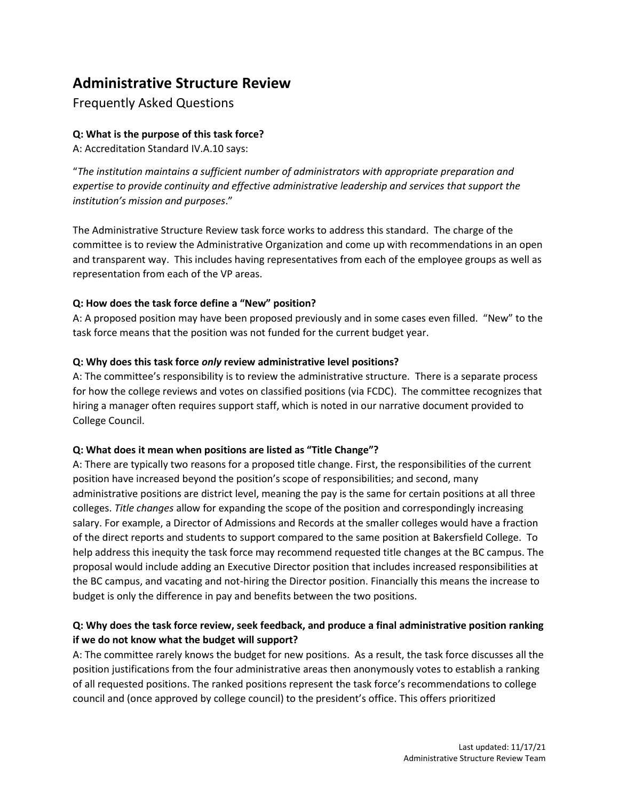# **Administrative Structure Review**

# Frequently Asked Questions

# **Q: What is the purpose of this task force?**

A: Accreditation Standard IV.A.10 says:

"*The institution maintains a sufficient number of administrators with appropriate preparation and expertise to provide continuity and effective administrative leadership and services that support the institution's mission and purposes*."

The Administrative Structure Review task force works to address this standard. The charge of the committee is to review the Administrative Organization and come up with recommendations in an open and transparent way. This includes having representatives from each of the employee groups as well as representation from each of the VP areas.

# **Q: How does the task force define a "New" position?**

A: A proposed position may have been proposed previously and in some cases even filled. "New" to the task force means that the position was not funded for the current budget year.

# **Q: Why does this task force** *only* **review administrative level positions?**

A: The committee's responsibility is to review the administrative structure. There is a separate process for how the college reviews and votes on classified positions (via FCDC). The committee recognizes that hiring a manager often requires support staff, which is noted in our narrative document provided to College Council.

#### **Q: What does it mean when positions are listed as "Title Change"?**

A: There are typically two reasons for a proposed title change. First, the responsibilities of the current position have increased beyond the position's scope of responsibilities; and second, many administrative positions are district level, meaning the pay is the same for certain positions at all three colleges. *Title changes* allow for expanding the scope of the position and correspondingly increasing salary. For example, a Director of Admissions and Records at the smaller colleges would have a fraction of the direct reports and students to support compared to the same position at Bakersfield College. To help address this inequity the task force may recommend requested title changes at the BC campus. The proposal would include adding an Executive Director position that includes increased responsibilities at the BC campus, and vacating and not-hiring the Director position. Financially this means the increase to budget is only the difference in pay and benefits between the two positions.

# **Q: Why does the task force review, seek feedback, and produce a final administrative position ranking if we do not know what the budget will support?**

A: The committee rarely knows the budget for new positions. As a result, the task force discusses all the position justifications from the four administrative areas then anonymously votes to establish a ranking of all requested positions. The ranked positions represent the task force's recommendations to college council and (once approved by college council) to the president's office. This offers prioritized